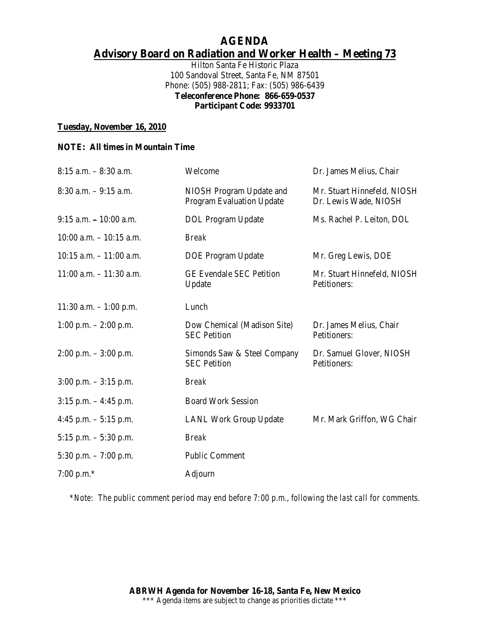# **AGENDA Advisory Board on Radiation and Worker Health – Meeting 73**

Hilton Santa Fe Historic Plaza 100 Sandoval Street, Santa Fe, NM 87501 Phone: (505) 988-2811; Fax: (505) 986-6439 **Teleconference Phone: 866-659-0537 Participant Code: 9933701**

#### **Tuesday, November 16, 2010**

#### **NOTE: All times in Mountain Time**

| $8:15$ a.m. $-8:30$ a.m.   | Welcome                                                      | Dr. James Melius, Chair                              |
|----------------------------|--------------------------------------------------------------|------------------------------------------------------|
| $8:30$ a.m. $-9:15$ a.m.   | NIOSH Program Update and<br><b>Program Evaluation Update</b> | Mr. Stuart Hinnefeld, NIOSH<br>Dr. Lewis Wade, NIOSH |
| $9:15$ a.m. $-10:00$ a.m.  | DOL Program Update                                           | Ms. Rachel P. Leiton, DOL                            |
| $10:00$ a.m. $-10:15$ a.m. | <b>Break</b>                                                 |                                                      |
| $10:15$ a.m. $-11:00$ a.m. | DOE Program Update                                           | Mr. Greg Lewis, DOE                                  |
| $11:00$ a.m. $-11:30$ a.m. | <b>GE Evendale SEC Petition</b><br>Update                    | Mr. Stuart Hinnefeld, NIOSH<br>Petitioners:          |
| 11:30 a.m. $-1:00$ p.m.    | Lunch                                                        |                                                      |
| $1:00$ p.m. $-2:00$ p.m.   | Dow Chemical (Madison Site)<br><b>SEC</b> Petition           | Dr. James Melius, Chair<br>Petitioners:              |
| $2:00$ p.m. $-3:00$ p.m.   | Simonds Saw & Steel Company<br><b>SEC Petition</b>           | Dr. Samuel Glover, NIOSH<br>Petitioners:             |
| $3:00$ p.m. $-3:15$ p.m.   | <b>Break</b>                                                 |                                                      |
| $3:15$ p.m. $-4:45$ p.m.   | <b>Board Work Session</b>                                    |                                                      |
| 4:45 p.m. $-5:15$ p.m.     | <b>LANL Work Group Update</b>                                | Mr. Mark Griffon, WG Chair                           |
| 5:15 p.m. $-$ 5:30 p.m.    | <b>Break</b>                                                 |                                                      |
| 5:30 p.m. $-7:00$ p.m.     | <b>Public Comment</b>                                        |                                                      |
| 7:00 p.m. $*$              | Adjourn                                                      |                                                      |

*\*Note: The public comment period may end before 7:00 p.m., following the last call for comments.*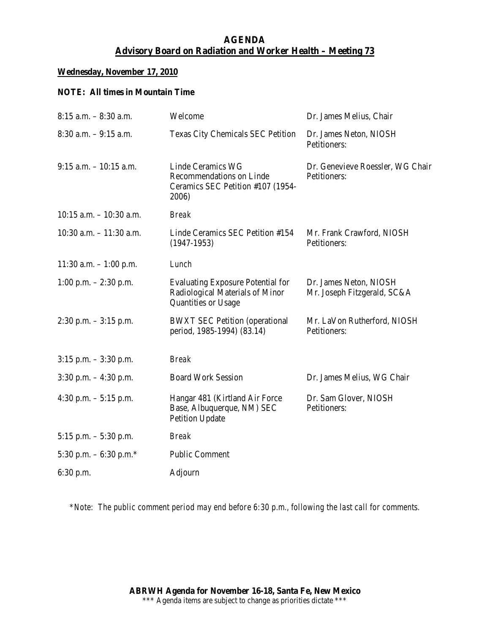### **AGENDA Advisory Board on Radiation and Worker Health – Meeting 73**

## **Wednesday, November 17, 2010**

### **NOTE: All times in Mountain Time**

| $8:15$ a.m. $-8:30$ a.m.   | Welcome                                                                                            | Dr. James Melius, Chair                               |
|----------------------------|----------------------------------------------------------------------------------------------------|-------------------------------------------------------|
| $8:30$ a.m. $-9:15$ a.m.   | Texas City Chemicals SEC Petition                                                                  | Dr. James Neton, NIOSH<br>Petitioners:                |
| $9:15$ a.m. $-10:15$ a.m.  | Linde Ceramics WG<br>Recommendations on Linde<br>Ceramics SEC Petition #107 (1954-<br>2006)        | Dr. Genevieve Roessler, WG Chair<br>Petitioners:      |
| $10:15$ a.m. $-10:30$ a.m. | <b>Break</b>                                                                                       |                                                       |
| $10:30$ a.m. $-11:30$ a.m. | Linde Ceramics SEC Petition #154<br>$(1947-1953)$                                                  | Mr. Frank Crawford, NIOSH<br>Petitioners:             |
| $11:30$ a.m. $-1:00$ p.m.  | Lunch                                                                                              |                                                       |
| 1:00 p.m. $-2:30$ p.m.     | <b>Evaluating Exposure Potential for</b><br>Radiological Materials of Minor<br>Quantities or Usage | Dr. James Neton, NIOSH<br>Mr. Joseph Fitzgerald, SC&A |
| $2:30$ p.m. $-3:15$ p.m.   | <b>BWXT SEC Petition (operational</b><br>period, 1985-1994) (83.14)                                | Mr. LaVon Rutherford, NIOSH<br>Petitioners:           |
| $3:15$ p.m. $-3:30$ p.m.   | <b>Break</b>                                                                                       |                                                       |
| $3:30$ p.m. $-4:30$ p.m.   | <b>Board Work Session</b>                                                                          | Dr. James Melius, WG Chair                            |
| 4:30 p.m. $-5:15$ p.m.     | Hangar 481 (Kirtland Air Force<br>Base, Albuquerque, NM) SEC<br><b>Petition Update</b>             | Dr. Sam Glover, NIOSH<br>Petitioners:                 |
| 5:15 p.m. $-$ 5:30 p.m.    | <b>Break</b>                                                                                       |                                                       |
| 5:30 p.m. $-$ 6:30 p.m.*   | <b>Public Comment</b>                                                                              |                                                       |
| 6:30 p.m.                  | Adjourn                                                                                            |                                                       |

*\*Note: The public comment period may end before 6:30 p.m., following the last call for comments.*